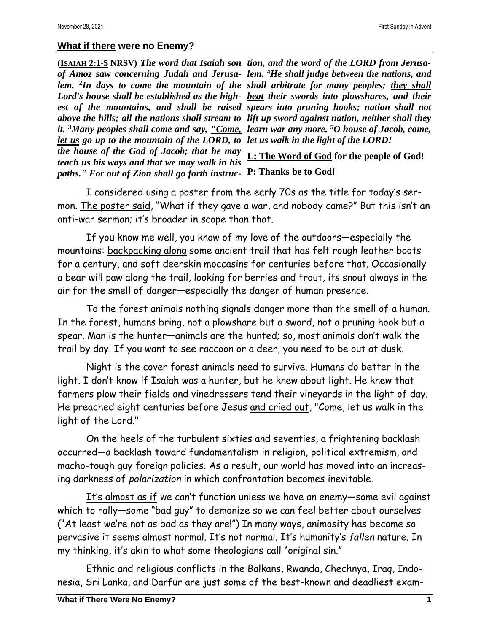## **What if there were no Enemy?**

**(ISAIAH 2:1-5 NRSV)** *The word that Isaiah son of Amoz saw concerning Judah and Jerusalem.* **<sup>2</sup>** *In days to come the mountain of the Lord's house shall be established as the highest of the mountains, and shall be raised above the hills; all the nations shall stream to it.* **<sup>3</sup>***Many peoples shall come and say, "Come, let us go up to the mountain of the LORD, to the house of the God of Jacob; that he may teach us his ways and that we may walk in his paths." For out of Zion shall go forth instruc-***P: Thanks be to God!**

*tion, and the word of the LORD from Jerusalem.* **<sup>4</sup>***He shall judge between the nations, and shall arbitrate for many peoples; they shall beat their swords into plowshares, and their spears into pruning hooks; nation shall not lift up sword against nation, neither shall they learn war any more.* **<sup>5</sup>***O house of Jacob, come, let us walk in the light of the LORD!*

**L: The Word of God for the people of God!**

I considered using a poster from the early 70s as the title for today's sermon. The poster said, "What if they gave a war, and nobody came?" But this isn't an anti-war sermon; it's broader in scope than that.

If you know me well, you know of my love of the outdoors—especially the mountains: backpacking along some ancient trail that has felt rough leather boots for a century, and soft deerskin moccasins for centuries before that. Occasionally a bear will paw along the trail, looking for berries and trout, its snout always in the air for the smell of danger—especially the danger of human presence.

To the forest animals nothing signals danger more than the smell of a human. In the forest, humans bring, not a plowshare but a sword, not a pruning hook but a spear. Man is the hunter—animals are the hunted; so, most animals don't walk the trail by day. If you want to see raccoon or a deer, you need to be out at dusk.

Night is the cover forest animals need to survive. Humans do better in the light. I don't know if Isaiah was a hunter, but he knew about light. He knew that farmers plow their fields and vinedressers tend their vineyards in the light of day. He preached eight centuries before Jesus and cried out, "Come, let us walk in the light of the Lord."

On the heels of the turbulent sixties and seventies, a frightening backlash occurred—a backlash toward fundamentalism in religion, political extremism, and macho-tough guy foreign policies. As a result, our world has moved into an increasing darkness of *polarization* in which confrontation becomes inevitable.

It's almost as if we can't function unless we have an enemy—some evil against which to rally—some "bad guy" to demonize so we can feel better about ourselves ("At least we're not as bad as they are!") In many ways, animosity has become so pervasive it seems almost normal. It's not normal. It's humanity's *fallen* nature. In my thinking, it's akin to what some theologians call "original sin."

Ethnic and religious conflicts in the Balkans, Rwanda, Chechnya, Iraq, Indonesia, Sri Lanka, and Darfur are just some of the best-known and deadliest exam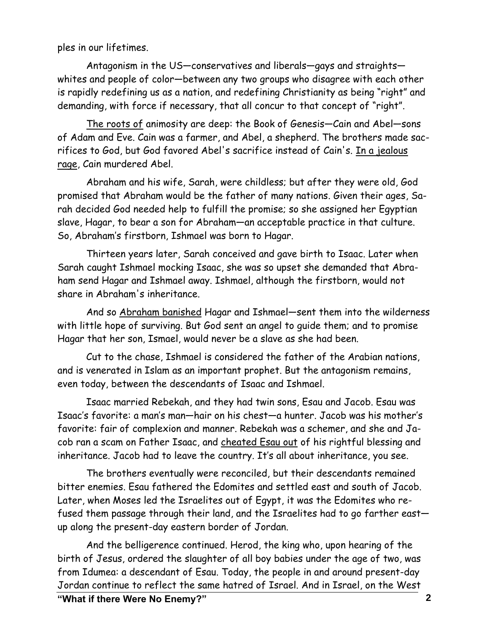ples in our lifetimes.

Antagonism in the US—conservatives and liberals—gays and straights whites and people of color—between any two groups who disagree with each other is rapidly redefining us as a nation, and redefining Christianity as being "right" and demanding, with force if necessary, that all concur to that concept of "right".

The roots of animosity are deep: the Book of Genesis—Cain and Abel—sons of Adam and Eve. Cain was a farmer, and Abel, a shepherd. The brothers made sacrifices to God, but God favored Abel's sacrifice instead of Cain's. In a jealous rage, Cain murdered Abel.

Abraham and his wife, Sarah, were childless; but after they were old, God promised that Abraham would be the father of many nations. Given their ages, Sarah decided God needed help to fulfill the promise; so she assigned her Egyptian slave, Hagar, to bear a son for Abraham—an acceptable practice in that culture. So, Abraham's firstborn, Ishmael was born to Hagar.

Thirteen years later, Sarah conceived and gave birth to Isaac. Later when Sarah caught Ishmael mocking Isaac, she was so upset she demanded that Abraham send Hagar and Ishmael away. Ishmael, although the firstborn, would not share in Abraham's inheritance.

And so Abraham banished Hagar and Ishmael—sent them into the wilderness with little hope of surviving. But God sent an angel to guide them; and to promise Hagar that her son, Ismael, would never be a slave as she had been.

Cut to the chase, Ishmael is considered the father of the Arabian nations, and is venerated in Islam as an important prophet. But the antagonism remains, even today, between the descendants of Isaac and Ishmael.

Isaac married Rebekah, and they had twin sons, Esau and Jacob. Esau was Isaac's favorite: a man's man—hair on his chest—a hunter. Jacob was his mother's favorite: fair of complexion and manner. Rebekah was a schemer, and she and Jacob ran a scam on Father Isaac, and cheated Esau out of his rightful blessing and inheritance. Jacob had to leave the country. It's all about inheritance, you see.

The brothers eventually were reconciled, but their descendants remained bitter enemies. Esau fathered the Edomites and settled east and south of Jacob. Later, when Moses led the Israelites out of Egypt, it was the Edomites who refused them passage through their land, and the Israelites had to go farther east up along the present-day eastern border of Jordan.

And the belligerence continued. Herod, the king who, upon hearing of the birth of Jesus, ordered the slaughter of all boy babies under the age of two, was from Idumea: a descendant of Esau. Today, the people in and around present-day Jordan continue to reflect the same hatred of Israel. And in Israel, on the West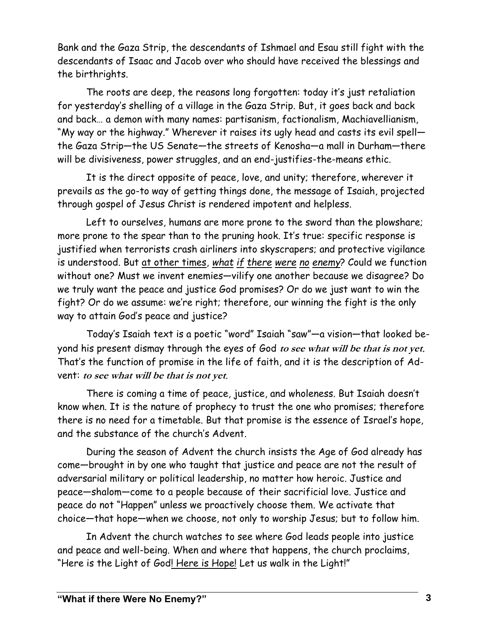Bank and the Gaza Strip, the descendants of Ishmael and Esau still fight with the descendants of Isaac and Jacob over who should have received the blessings and the birthrights.

The roots are deep, the reasons long forgotten: today it's just retaliation for yesterday's shelling of a village in the Gaza Strip. But, it goes back and back and back… a demon with many names: partisanism, factionalism, Machiavellianism, "My way or the highway." Wherever it raises its ugly head and casts its evil spell the Gaza Strip—the US Senate—the streets of Kenosha—a mall in Durham—there will be divisiveness, power struggles, and an end-justifies-the-means ethic.

It is the direct opposite of peace, love, and unity; therefore, wherever it prevails as the go-to way of getting things done, the message of Isaiah, projected through gospel of Jesus Christ is rendered impotent and helpless.

Left to ourselves, humans are more prone to the sword than the plowshare; more prone to the spear than to the pruning hook. It's true: specific response is justified when terrorists crash airliners into skyscrapers; and protective vigilance is understood. But at other times, *what if there were no enemy*? Could we function without one? Must we invent enemies—vilify one another because we disagree? Do we truly want the peace and justice God promises? Or do we just want to win the fight? Or do we assume: we're right; therefore, our winning the fight is the only way to attain God's peace and justice?

Today's Isaiah text is a poetic "word" Isaiah "saw"—a vision—that looked beyond his present dismay through the eyes of God **to see what will be that is not yet**. That's the function of promise in the life of faith, and it is the description of Advent: **to see what will be that is not yet**.

There is coming a time of peace, justice, and wholeness. But Isaiah doesn't know when. It is the nature of prophecy to trust the one who promises; therefore there is no need for a timetable. But that promise is the essence of Israel's hope, and the substance of the church's Advent.

During the season of Advent the church insists the Age of God already has come—brought in by one who taught that justice and peace are not the result of adversarial military or political leadership, no matter how heroic. Justice and peace—shalom—come to a people because of their sacrificial love. Justice and peace do not "Happen" unless we proactively choose them. We activate that choice—that hope—when we choose, not only to worship Jesus; but to follow him.

In Advent the church watches to see where God leads people into justice and peace and well-being. When and where that happens, the church proclaims, "Here is the Light of God! Here is Hope! Let us walk in the Light!"